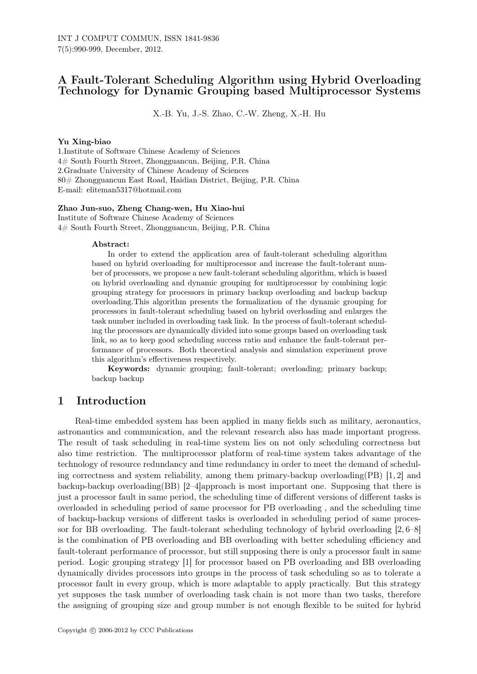## A Fault-Tolerant Scheduling Algorithm using Hybrid Overloading Technology for Dynamic Grouping based Multiprocessor Systems

X.-B. Yu, J.-S. Zhao, C.-W. Zheng, X.-H. Hu

#### Yu Xing-biao

1.Institute of Software Chinese Academy of Sciences 4# South Fourth Street, Zhongguancun, Beijing, P.R. China 2.Graduate University of Chinese Academy of Sciences 80# Zhongguancun East Road, Haidian District, Beijing, P.R. China E-mail: eliteman5317@hotmail.com

#### Zhao Jun-suo, Zheng Chang-wen, Hu Xiao-hui

Institute of Software Chinese Academy of Sciences 4# South Fourth Street, Zhongguancun, Beijing, P.R. China

#### Abstract:

In order to extend the application area of fault-tolerant scheduling algorithm based on hybrid overloading for multiprocessor and increase the fault-tolerant number of processors, we propose a new fault-tolerant scheduling algorithm, which is based on hybrid overloading and dynamic grouping for multiprocessor by combining logic grouping strategy for processors in primary backup overloading and backup backup overloading.This algorithm presents the formalization of the dynamic grouping for processors in fault-tolerant scheduling based on hybrid overloading and enlarges the task number included in overloading task link. In the process of fault-tolerant scheduling the processors are dynamically divided into some groups based on overloading task link, so as to keep good scheduling success ratio and enhance the fault-tolerant performance of processors. Both theoretical analysis and simulation experiment prove this algorithm's effectiveness respectively.

Keywords: dynamic grouping; fault-tolerant; overloading; primary backup; backup backup

### 1 Introduction

Real-time embedded system has been applied in many fields such as military, aeronautics, astronautics and communication, and the relevant research also has made important progress. The result of task scheduling in real-time system lies on not only scheduling correctness but also time restriction. The multiprocessor platform of real-time system takes advantage of the technology of resource redundancy and time redundancy in order to meet the demand of scheduling correctness and system reliability, among them primary-backup overloading  $(PB)$  [1, 2] and backup-backup overloading(BB) [2–4]approach is most important one. Supposing that there is just a processor fault in same period, the scheduling time of different versions of different tasks is overloaded in scheduling period of same processor for PB overloading , and the scheduling time of backup-backup versions of different tasks is overloaded in scheduling period of same processor for BB overloading. The fault-tolerant scheduling technology of hybrid overloading [2, 6–8] is the combination of PB overloading and BB overloading with better scheduling efficiency and fault-tolerant performance of processor, but still supposing there is only a processor fault in same period. Logic grouping strategy [1] for processor based on PB overloading and BB overloading dynamically divides processors into groups in the process of task scheduling so as to tolerate a processor fault in every group, which is more adaptable to apply practically. But this strategy yet supposes the task number of overloading task chain is not more than two tasks, therefore the assigning of grouping size and group number is not enough flexible to be suited for hybrid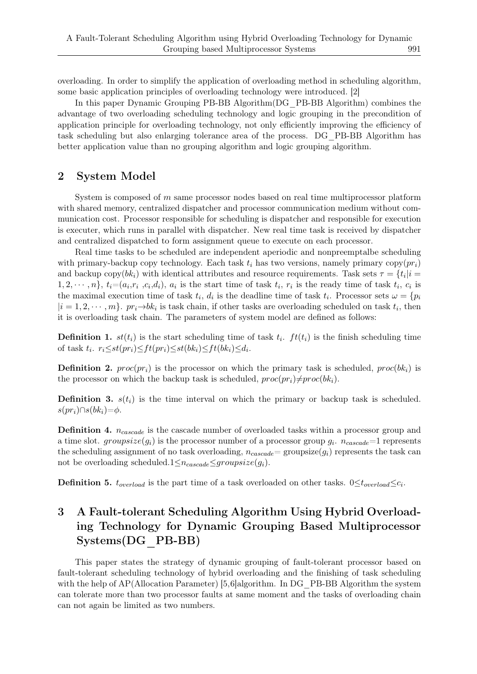overloading. In order to simplify the application of overloading method in scheduling algorithm, some basic application principles of overloading technology were introduced. [2]

In this paper Dynamic Grouping PB-BB Algorithm(DG\_PB-BB Algorithm) combines the advantage of two overloading scheduling technology and logic grouping in the precondition of application principle for overloading technology, not only efficiently improving the efficiency of task scheduling but also enlarging tolerance area of the process. DG\_PB-BB Algorithm has better application value than no grouping algorithm and logic grouping algorithm.

## 2 System Model

System is composed of *m* same processor nodes based on real time multiprocessor platform with shared memory, centralized dispatcher and processor communication medium without communication cost. Processor responsible for scheduling is dispatcher and responsible for execution is executer, which runs in parallel with dispatcher. New real time task is received by dispatcher and centralized dispatched to form assignment queue to execute on each processor.

Real time tasks to be scheduled are independent aperiodic and nonpreemptalbe scheduling with primary-backup copy technology. Each task  $t_i$  has two versions, namely primary  $\text{copy}(pr_i)$ and backup copy( $bk_i$ ) with identical attributes and resource requirements. Task sets  $\tau = \{t_i | i =$  $1, 2, \dots, n\}, t_i=(a_i, r_i, c_i, d_i), a_i$  is the start time of task  $t_i, r_i$  is the ready time of task  $t_i, c_i$  is the maximal execution time of task  $t_i$ ,  $d_i$  is the deadline time of task  $t_i$ . Processor sets  $\omega = \{p_i\}$  $|i = 1, 2, \dots, m\}$ . *pr*<sub>*i*</sub> $\rightarrow$ *bk<sub>i</sub>* is task chain, if other tasks are overloading scheduled on task  $t_i$ , then it is overloading task chain. The parameters of system model are defined as follows:

**Definition 1.**  $st(t_i)$  is the start scheduling time of task  $t_i$ .  $ft(t_i)$  is the finish scheduling time of task  $t_i$ .  $r_i \leq st(pr_i) \leq ft(pr_i) \leq st(bk_i) \leq ft(bk_i) \leq d_i$ .

**Definition 2.**  $proc(pr_i)$  is the processor on which the primary task is scheduled,  $proc(bk_i)$  is the processor on which the backup task is scheduled,  $proc(pr_i) \neq proc(bk_i)$ .

**Definition 3.**  $s(t_i)$  is the time interval on which the primary or backup task is scheduled.  $s(pr_i) ∩ s(bk_i) = \phi$ .

Definition 4. *ncascade* is the cascade number of overloaded tasks within a processor group and a time slot.  $groupsize(g_i)$  is the processor number of a processor group  $g_i$ .  $n_{cascade}$ =1 represents the scheduling assignment of no task overloading,  $n_{cascade} = \text{groupsize}(g_i)$  represents the task can not be overloading scheduled.1 $\leq n_{cascade} \leq groupsize(q_i)$ .

**Definition 5.**  $t_{overload}$  is the part time of a task overloaded on other tasks.  $0 \le t_{overload} \le c_i$ .

# 3 A Fault-tolerant Scheduling Algorithm Using Hybrid Overloading Technology for Dynamic Grouping Based Multiprocessor Systems(DG\_PB-BB)

This paper states the strategy of dynamic grouping of fault-tolerant processor based on fault-tolerant scheduling technology of hybrid overloading and the finishing of task scheduling with the help of AP(Allocation Parameter) [5,6]algorithm. In DG PB-BB Algorithm the system can tolerate more than two processor faults at same moment and the tasks of overloading chain can not again be limited as two numbers.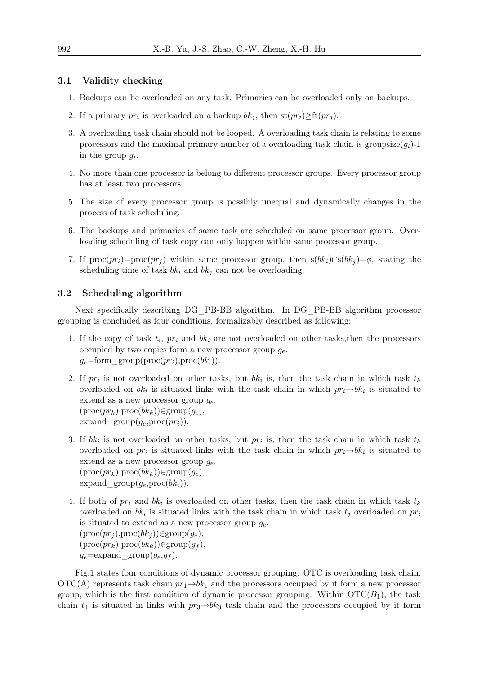#### 3.1 Validity checking

- 1. Backups can be overloaded on any task. Primaries can be overloaded only on backups.
- 2. If a primary  $pr_i$  is overloaded on a backup  $bk_j$ , then  $\text{st}(pr_i) \geq \text{ft}(pr_j)$ .
- 3. A overloading task chain should not be looped. A overloading task chain is relating to some processors and the maximal primary number of a overloading task chain is groupsize $(q_i)$ -1 in the group *g<sup>i</sup>* .
- 4. No more than one processor is belong to different processor groups. Every processor group has at least two processors.
- 5. The size of every processor group is possibly unequal and dynamically changes in the process of task scheduling.
- 6. The backups and primaries of same task are scheduled on same processor group. Overloading scheduling of task copy can only happen within same processor group.
- 7. If  $\text{proc}(pr_i)=\text{proc}(pr_i)$  within same processor group, then  $s(bk_i)\cap s(bk_i)=\phi$ , stating the scheduling time of task  $bk_i$  and  $bk_j$  can not be overloading.

#### 3.2 Scheduling algorithm

Next specifically describing DG\_PB-BB algorithm. In DG\_PB-BB algorithm processor grouping is concluded as four conditions, formalizably described as following:

- 1. If the copy of task *t<sup>i</sup>* , *pr<sup>i</sup>* and *bk<sup>i</sup>* are not overloaded on other tasks,then the processors occupied by two copies form a new processor group *ge*.  $g_e$ =form group(proc( $pr_i$ ),proc( $bk_i$ )).
- 2. If  $pr_i$  is not overloaded on other tasks, but  $bk_i$  is, then the task chain in which task  $t_k$ overloaded on  $bk_i$  is situated links with the task chain in which  $pr_i \rightarrow bk_i$  is situated to extend as a new processor group *ge*. (proc(*prk*),proc(*bkk*))*∈*group(*ge*), expand  $\text{group}(g_e, \text{proc}(pr_i)).$
- 3. If *bk<sup>i</sup>* is not overloaded on other tasks, but *pr<sup>i</sup>* is, then the task chain in which task *t<sup>k</sup>* overloaded on  $pr_i$  is situated links with the task chain in which  $pr_i \rightarrow bk_i$  is situated to extend as a new processor group *ge*. (proc(*prk*),proc(*bkk*))*∈*group(*ge*), expand  $\text{group}(g_e, \text{proc}(bk_i)).$
- 4. If both of *pr<sup>i</sup>* and *bk<sup>i</sup>* is overloaded on other tasks, then the task chain in which task *t<sup>k</sup>* overloaded on *bk<sup>i</sup>* is situated links with the task chain in which task *t<sup>j</sup>* overloaded on *pr<sup>i</sup>* is situated to extend as a new processor group  $q_e$ .  $(\text{proc}(pr_i), \text{proc}(bk_i)) \in \text{group}(g_e),$ (proc(*prk*),proc(*bkk*))*∈*group(*g<sup>f</sup>* ),  $g_e = \exp \text{and}$  group $(g_e, g_f)$ .

Fig.1 states four conditions of dynamic processor grouping. OTC is overloading task chain. OTC(A) represents task chain  $pr_1 \rightarrow bk_1$  and the processors occupied by it form a new processor group, which is the first condition of dynamic processor grouping. Within  $\mathrm{OTC}(B_1)$ , the task chain  $t_4$  is situated in links with  $pr_3 \rightarrow bk_3$  task chain and the processors occupied by it form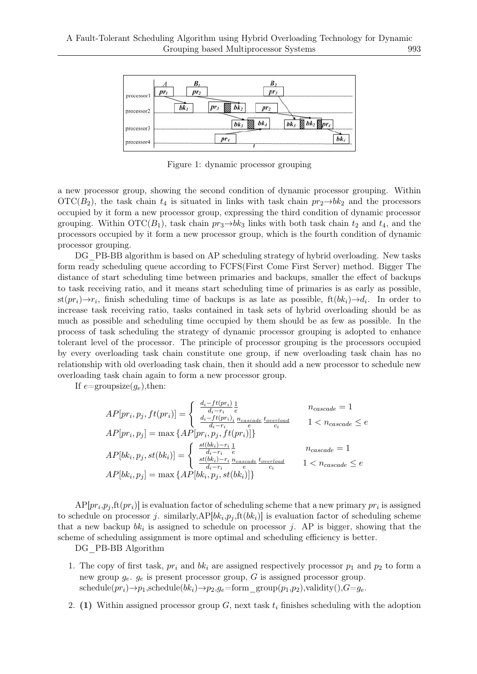

Figure 1: dynamic processor grouping

a new processor group, showing the second condition of dynamic processor grouping. Within OTC( $B_2$ ), the task chain  $t_4$  is situated in links with task chain  $pr_2 \rightarrow bk_2$  and the processors occupied by it form a new processor group, expressing the third condition of dynamic processor grouping. Within  $\text{OTC}(B_1)$ , task chain  $pr_3 \rightarrow bk_3$  links with both task chain  $t_2$  and  $t_4$ , and the processors occupied by it form a new processor group, which is the fourth condition of dynamic processor grouping.

DG PB-BB algorithm is based on AP scheduling strategy of hybrid overloading. New tasks form ready scheduling queue according to FCFS(First Come First Server) method. Bigger The distance of start scheduling time between primaries and backups, smaller the effect of backups to task receiving ratio, and it means start scheduling time of primaries is as early as possible,  $\text{st}(pr_i) \rightarrow r_i$ , finish scheduling time of backups is as late as possible,  $\text{ft}(bk_i) \rightarrow d_i$ . In order to increase task receiving ratio, tasks contained in task sets of hybrid overloading should be as much as possible and scheduling time occupied by them should be as few as possible. In the process of task scheduling the strategy of dynamic processor grouping is adopted to enhance tolerant level of the processor. The principle of processor grouping is the processors occupied by every overloading task chain constitute one group, if new overloading task chain has no relationship with old overloading task chain, then it should add a new processor to schedule new overloading task chain again to form a new processor group.

If  $e = \text{groupsize}(q_e)$ , then:

$$
AP[pr_i, p_j, ft(pr_i)] = \begin{cases} \frac{d_i - ft(pr_i)}{d_i - r_i} \frac{1}{e} & n_{cascade} = 1\\ \frac{d_i - ft(pr_i)_i}{d_i - r_i} \frac{n_{cascade}}{e} \frac{t_{overload}}{c_i} & 1 < n_{cascade} \le e\\ AP[pr_i, p_j] = \max\left\{AP[pr_i, p_j, ft(pr_i)]\right\} \end{cases}
$$
\n
$$
AP[bk_i, p_j, st(bk_i)] = \begin{cases} \frac{st(bk_i) - r_i}{d_i - r_i} \frac{1}{e} & n_{cascade} = 1\\ \frac{st(bk_i) - r_i}{d_i - r_i} \frac{n_{cascade}}{e} \frac{t_{overload}}{c_i} & 1 < n_{cascade} \le e\\ AP[bk_i, p_j] = \max\left\{AP[bk_i, p_j, st(bk_i)]\right\} \end{cases}
$$

 $AP[pr_i, p_j, \text{ft}(pr_i)]$  is evaluation factor of scheduling scheme that a new primary  $pr_i$  is assigned to schedule on processor *j*. similarly, $AP[bk_i, p_j, \text{ft}(bk_i)]$  is evaluation factor of scheduling scheme that a new backup  $bk_i$  is assigned to schedule on processor *j*. AP is bigger, showing that the scheme of scheduling assignment is more optimal and scheduling efficiency is better.

DG\_PB-BB Algorithm

- 1. The copy of first task,  $pr_i$  and  $bk_i$  are assigned respectively processor  $p_1$  and  $p_2$  to form a new group  $g_e$ .  $g_e$  is present processor group,  $G$  is assigned processor group.  $\text{scale}(pr_i) \rightarrow p_1, \text{schedule}(bk_i) \rightarrow p_2, \text{g}_e = \text{form}\ \ \text{group}(p_1, p_2), \text{validity}(), G = g_e.$
- 2. (1) Within assigned processor group *G*, next task *t<sup>i</sup>* finishes scheduling with the adoption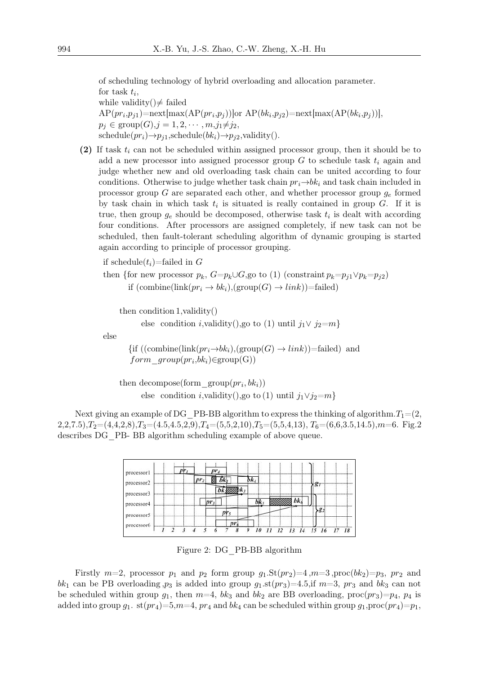of scheduling technology of hybrid overloading and allocation parameter.

for task  $t_i$ , while validity( $)\neq$  failed  $AP(pr_i, p_{j1}) = \text{next}[\max(AP(pr_i, p_j))]$ or  $AP(bk_i, p_{j2}) = \text{next}[\max(AP(bk_i, p_j))]$ ,  $p_j \in \text{group}(G), j = 1, 2, \cdots, m, j_1 \neq j_2$ ,  $\text{schedule}(pr_i) \rightarrow p_{i1}, \text{ schedule}(bk_i) \rightarrow p_{i2}, \text{validity}().$ 

(2) If task *t<sup>i</sup>* can not be scheduled within assigned processor group, then it should be to add a new processor into assigned processor group *G* to schedule task *t<sup>i</sup>* again and judge whether new and old overloading task chain can be united according to four conditions. Otherwise to judge whether task chain  $pr_i \rightarrow bk_i$  and task chain included in processor group *G* are separated each other, and whether processor group *g<sup>e</sup>* formed by task chain in which task  $t_i$  is situated is really contained in group  $G$ . If it is true, then group  $g_e$  should be decomposed, otherwise task  $t_i$  is dealt with according four conditions. After processors are assigned completely, if new task can not be scheduled, then fault-tolerant scheduling algorithm of dynamic grouping is started again according to principle of processor grouping.

if schedule $(t_i)$ =failed in G

then {for new processor 
$$
p_k
$$
,  $G=p_k \cup G$ , go to (1) (constraint  $p_k=p_{j1} \vee p_k=p_{j2}$ )  
if (combine(link $(pri \rightarrow bk_i)$ ), (group $(G) \rightarrow link$ ))=failed)

then condition 1,validity()

else condition *i*,  
validity(),go to (1) until 
$$
j_1 \vee j_2 = m
$$
}

else

{if ((combine(link
$$
(pr_i \rightarrow bk_i)
$$
), (group $(G) \rightarrow link$ ))=failed) and  
 $form\_group(pr_i, bk_i)$  (group $(G)$ )

then decompose(form\_group( $pr_i, bk_i$ )) else condition *i*,validity(),go to (1) until  $j_1 \vee j_2 = m$ }

Next giving an example of DG\_PB-BB algorithm to express the thinking of algorithm.  $T_1=(2,$  $2,2,7.5$ ), $T_2$ =(4,4,2,8), $T_3$ =(4.5,4.5,2,9), $T_4$ =(5,5,2,10), $T_5$ =(5,5,4,13), $T_6$ =(6,6,3.5,14.5), $m$ =6. Fig.2 describes DG\_PB- BB algorithm scheduling example of above queue.

| processor1 |           |        |    |    |                   |
|------------|-----------|--------|----|----|-------------------|
| processor2 | $_{1}pr.$ |        |    |    |                   |
|            |           |        |    |    | g                 |
| processor3 |           |        | bk |    |                   |
| processor4 |           |        |    |    | 82                |
| processor5 |           | $pr_5$ |    |    |                   |
| processor6 |           | T12    |    | 12 | 13 14 15 16 17 18 |

Figure 2: DG\_PB-BB algorithm

Firstly  $m=2$ , processor  $p_1$  and  $p_2$  form group  $g_1$ .St $(pr_2)=4$ , $m=3$ , proc $(bk_2)=p_3$ ,  $pr_2$  and bk<sub>1</sub> can be PB overloading  $p_3$  is added into group  $q_1$ .st $(p_3)$ =4.5,if  $m=3$ ,  $pr_3$  and  $bk_3$  can not be scheduled within group  $g_1$ , then  $m=4$ ,  $bk_3$  and  $bk_2$  are BB overloading,  $\text{proc}(pr_3)=p_4$ ,  $p_4$  is added into group  $g_1$ . st $(pr_4)=5,m=4$ ,  $pr_4$  and  $bk_4$  can be scheduled within group  $g_1$ ,proc $(pr_4)=p_1$ ,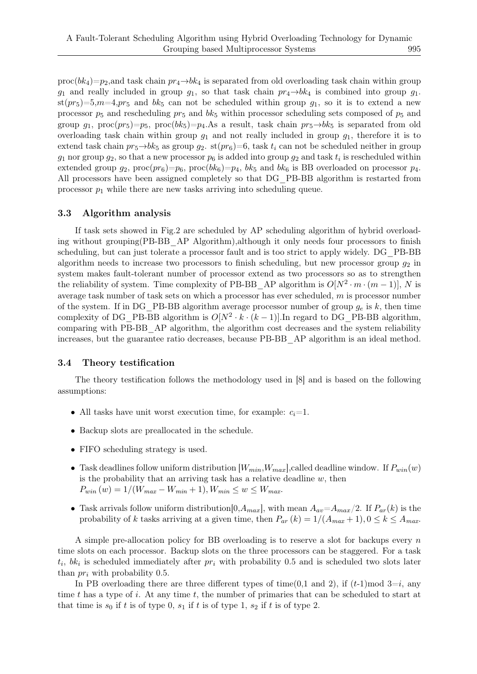$\text{proc}(bk_4) = p_2$ , and task chain  $pr_4 \rightarrow bk_4$  is separated from old overloading task chain within group  $g_1$  and really included in group  $g_1$ , so that task chain  $pr_4 \rightarrow bk_4$  is combined into group  $g_1$ .  $\text{st}(pr_5)=5, m=4, pr_5$  and  $bk_5$  can not be scheduled within group  $g_1$ , so it is to extend a new processor *p*<sup>5</sup> and rescheduling *pr*<sup>5</sup> and *bk*<sup>5</sup> within processor scheduling sets composed of *p*<sup>5</sup> and group  $g_1$ , proc $(pr_5)=p_5$ , proc $(bk_5)=p_4$ .As a result, task chain  $pr_5 \rightarrow bk_5$  is separated from old overloading task chain within group  $g_1$  and not really included in group  $g_1$ , therefore it is to extend task chain  $pr_5 \rightarrow bk_5$  as group  $g_2$ . st $(pr_6)=6$ , task  $t_i$  can not be scheduled neither in group  $g_1$  nor group  $g_2$ , so that a new processor  $p_6$  is added into group  $g_2$  and task  $t_i$  is rescheduled within extended group  $g_2$ ,  $\text{proc}(pr_6) = p_6$ ,  $\text{proc}(bk_6) = p_4$ ,  $bk_5$  and  $bk_6$  is BB overloaded on processor  $p_4$ . All processors have been assigned completely so that DG\_PB-BB algorithm is restarted from processor  $p_1$  while there are new tasks arriving into scheduling queue.

#### 3.3 Algorithm analysis

If task sets showed in Fig.2 are scheduled by AP scheduling algorithm of hybrid overloading without grouping(PB-BB\_AP Algorithm),although it only needs four processors to finish scheduling, but can just tolerate a processor fault and is too strict to apply widely. DG\_PB-BB algorithm needs to increase two processors to finish scheduling, but new processor group *g*<sup>2</sup> in system makes fault-tolerant number of processor extend as two processors so as to strengthen the reliability of system. Time complexity of PB-BB\_AP algorithm is  $O[N^2 \cdot m \cdot (m-1)]$ , *N* is average task number of task sets on which a processor has ever scheduled, *m* is processor number of the system. If in DG\_PB-BB algorithm average processor number of group  $g_e$  is  $k$ , then time complexity of DG\_PB-BB algorithm is  $O[N^2 \cdot k \cdot (k-1)]$ . In regard to DG\_PB-BB algorithm, comparing with PB-BB\_AP algorithm, the algorithm cost decreases and the system reliability increases, but the guarantee ratio decreases, because PB-BB\_AP algorithm is an ideal method.

#### 3.4 Theory testification

The theory testification follows the methodology used in [8] and is based on the following assumptions:

- All tasks have unit worst execution time, for example:  $c_i = 1$ .
- Backup slots are preallocated in the schedule.
- FIFO scheduling strategy is used.
- Task deadlines follow uniform distribution  $[W_{min}, W_{max}]$ ,called deadline window. If  $P_{win}(w)$ is the probability that an arriving task has a relative deadline *w*, then  $P_{win}(w) = 1/(W_{max} - W_{min} + 1), W_{min} \leq w \leq W_{max}$ .
- Task arrivals follow uniform distribution  $[0, A_{max}]$ , with mean  $A_{av} = A_{max}/2$ . If  $P_{ar}(k)$  is the probability of *k* tasks arriving at a given time, then  $P_{ar}(k) = 1/(A_{max} + 1), 0 \le k \le A_{max}$ .

A simple pre-allocation policy for BB overloading is to reserve a slot for backups every *n* time slots on each processor. Backup slots on the three processors can be staggered. For a task  $t_i$ ,  $bk_i$  is scheduled immediately after  $pr_i$  with probability 0.5 and is scheduled two slots later than *pr<sup>i</sup>* with probability 0.5.

In PB overloading there are three different types of time(0.1 and 2), if  $(t-1)$  mod  $3=i$ , any time *t* has a type of *i*. At any time *t*, the number of primaries that can be scheduled to start at that time is  $s_0$  if  $t$  is of type 0,  $s_1$  if  $t$  is of type 1,  $s_2$  if  $t$  is of type 2.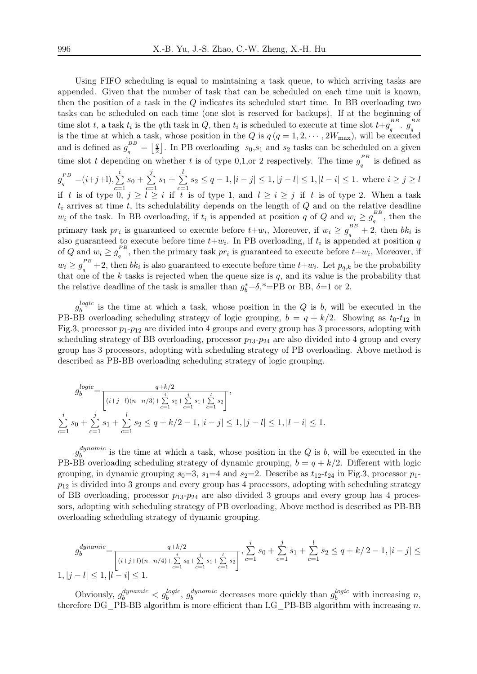Using FIFO scheduling is equal to maintaining a task queue, to which arriving tasks are appended. Given that the number of task that can be scheduled on each time unit is known, then the position of a task in the *Q* indicates its scheduled start time. In BB overloading two tasks can be scheduled on each time (one slot is reserved for backups). If at the beginning of time slot *t*, a task  $t_i$  is the *q*th task in *Q*, then  $t_i$  is scheduled to execute at time slot  $t+g_a^{BB}$  $g_q^{\scriptscriptstyle BB}$  .  $g_q^{\scriptscriptstyle BB}$ is the time at which a task, whose position in the *Q* is  $q(q = 1, 2, \dots, 2W_{\text{max}})$ , will be executed and is defined as  $g_q^{BB} = \frac{q}{2}$  $\frac{q}{2}$ . In PB overloading  $s_0, s_1$  and  $s_2$  tasks can be scheduled on a given time slot *t* depending on whether *t* is of type 0,1,or 2 respectively. The time  $g<sub>e</sub><sup>PB</sup>$  $q \nvert q$ <sup>r</sup> is defined as  $g_q^{PB}=(i+j{+}1),\sum_{i=1}^{k}$ *i c*=1  $s_0+\sum$ *j c*=1  $s_1+\sum$ *l c*=1  $s_2 \leq q-1, |i-j| \leq 1, |j-l| \leq 1, |l-i| \leq 1$ . where  $i \geq j \geq l$ if *t* is of type 0,  $j \ge l \ge i$  if *t* is of type 1, and  $l \ge i \ge j$  if *t* is of type 2. When a task  $t_i$  arrives at time  $t$ , its schedulability depends on the length of  $Q$  and on the relative deadline *w*<sub>*i*</sub> of the task. In BB overloading, if  $t_i$  is appended at position *q* of *Q* and  $w_i \ge g_a^{BB}$  $\int_{q}^{BB}$ , then the primary task  $pr_i$  is guaranteed to execute before  $t+w_i$ , Moreover, if  $w_i \geq g_i^{BB} + 2$ , then  $bk_i$  is also guaranteed to execute before time  $t+w_i$ . In PB overloading, if  $t_i$  is appended at position  $q$ of *Q* and  $w_i \geq g_i^{PB}$  $q^2$ , then the primary task *pr*<sub>*i*</sub> is guaranteed to execute before  $t+w_i$ , Moreover, if  $w_i \geq g_q^{PB} + 2$ , then  $bk_i$  is also guaranteed to execute before time  $t+w_i$ . Let  $p_{q,k}$  be the probability that one of the *k* tasks is rejected when the queue size is *q*, and its value is the probability that the relative deadline of the task is smaller than  $g_b^* + \delta$ ,\*=PB or BB,  $\delta$ =1 or 2.

*g logic*  $\frac{\log c}{b}$  is the time at which a task, whose position in the *Q* is *b*, will be executed in the PB-BB overloading scheduling strategy of logic grouping,  $b = q + k/2$ . Showing as  $t_0$ - $t_{12}$  in Fig.3, processor  $p_1$ - $p_1$ <sub>2</sub> are divided into 4 groups and every group has 3 processors, adopting with scheduling strategy of BB overloading, processor  $p_{13}$ - $p_{24}$  are also divided into 4 group and every group has 3 processors, adopting with scheduling strategy of PB overloading. Above method is described as PB-BB overloading scheduling strategy of logic grouping.

$$
g_b^{logic} = \frac{q+k/2}{\left[ (i+j+l)(n-n/3) + \sum_{c=1}^i s_0 + \sum_{c=1}^j s_1 + \sum_{c=1}^l s_2 \right]},
$$
  

$$
\sum_{c=1}^i s_0 + \sum_{c=1}^j s_1 + \sum_{c=1}^l s_2 \le q+k/2-1, |i-j| \le 1, |j-l| \le 1, |l-i| \le 1.
$$

*g dynamic*  $\delta_b^{dynamic}$  is the time at which a task, whose position in the *Q* is *b*, will be executed in the PB-BB overloading scheduling strategy of dynamic grouping,  $b = q + k/2$ . Different with logic grouping, in dynamic grouping  $s_0=3$ ,  $s_1=4$  and  $s_2=2$ . Describe as  $t_{12}-t_{24}$  in Fig.3, processor  $p_1$  $p_{12}$  is divided into 3 groups and every group has 4 processors, adopting with scheduling strategy of BB overloading, processor  $p_{13}$ - $p_{24}$  are also divided 3 groups and every group has 4 processors, adopting with scheduling strategy of PB overloading, Above method is described as PB-BB overloading scheduling strategy of dynamic grouping.

$$
g_b^{dynamic} = \frac{q + k/2}{\left[ (i+j+l)(n-n/4) + \sum_{c=1}^i s_0 + \sum_{c=1}^j s_1 + \sum_{c=1}^l s_2 \right]}, \sum_{c=1}^i s_0 + \sum_{c=1}^j s_1 + \sum_{c=1}^l s_2 \le q + k/2 - 1, |i - j| \le 1, |j - l| \le 1, |l - i| \le 1.
$$

Obviously,  $g_b^{dynamic} < g_b^{logic}$ ,  $g_b^{dynamic}$  $b^{\text{dynamic}}_b$  decreases more quickly than  $g_b^{\text{logic}}$  with increasing *n*, therefore DG\_PB-BB algorithm is more efficient than LG\_PB-BB algorithm with increasing *n*.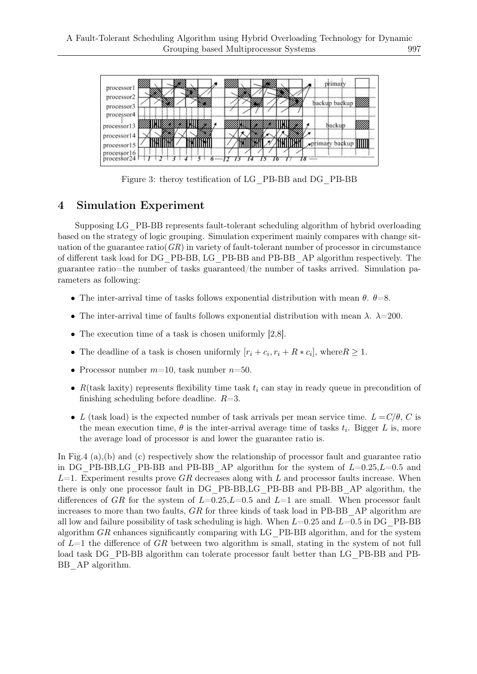

Figure 3: theroy testification of LG\_PB-BB and DG\_PB-BB

## 4 Simulation Experiment

Supposing LG\_PB-BB represents fault-tolerant scheduling algorithm of hybrid overloading based on the strategy of logic grouping. Simulation experiment mainly compares with change situation of the guarantee ratio( $GR$ ) in variety of fault-tolerant number of processor in circumstance of different task load for DG\_PB-BB, LG\_PB-BB and PB-BB\_AP algorithm respectively. The guarantee ratio=the number of tasks guaranteed/the number of tasks arrived. Simulation parameters as following:

- *•* The inter-arrival time of tasks follows exponential distribution with mean *θ*. *θ*=8.
- *•* The inter-arrival time of faults follows exponential distribution with mean *λ*. *λ*=200.
- The execution time of a task is chosen uniformly [2,8].
- The deadline of a task is chosen uniformly  $[r_i + c_i, r_i + R * c_i]$ , where  $R \geq 1$ .
- *•* Processor number *m*=10, task number *n*=50.
- $R$ (task laxity) represents flexibility time task  $t_i$  can stay in ready queue in precondition of finishing scheduling before deadline. *R*=3.
- *L* (task load) is the expected number of task arrivals per mean service time.  $L = C/\theta$ , *C* is the mean execution time,  $\theta$  is the inter-arrival average time of tasks  $t_i$ . Bigger L is, more the average load of processor is and lower the guarantee ratio is.

In Fig.4 (a),(b) and (c) respectively show the relationship of processor fault and guarantee ratio in DG\_PB-BB,LG\_PB-BB and PB-BB\_AP algorithm for the system of *L*=0.25,*L*=0.5 and *L*=1. Experiment results prove *GR* decreases along with *L* and processor faults increase. When there is only one processor fault in DG\_PB-BB,LG\_PB-BB and PB-BB\_AP algorithm, the differences of *GR* for the system of *L*=0.25,*L*=0.5 and *L*=1 are small. When processor fault increases to more than two faults, *GR* for three kinds of task load in PB-BB\_AP algorithm are all low and failure possibility of task scheduling is high. When *L*=0.25 and *L*=0.5 in DG\_PB-BB algorithm *GR* enhances significantly comparing with LG\_PB-BB algorithm, and for the system of *L*=1 the difference of *GR* between two algorithm is small, stating in the system of not full load task DG\_PB-BB algorithm can tolerate processor fault better than LG\_PB-BB and PB-BB AP algorithm.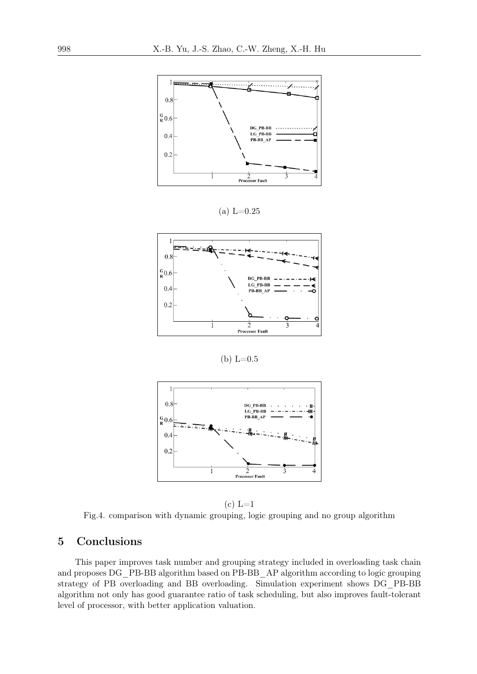

 $(a) L=0.25$ 



(b)  $L=0.5$ 



 $(c) L=1$ 

Fig.4. comparison with dynamic grouping, logic grouping and no group algorithm

## 5 Conclusions

This paper improves task number and grouping strategy included in overloading task chain and proposes DG\_PB-BB algorithm based on PB-BB\_AP algorithm according to logic grouping strategy of PB overloading and BB overloading. Simulation experiment shows DG\_PB-BB algorithm not only has good guarantee ratio of task scheduling, but also improves fault-tolerant level of processor, with better application valuation.